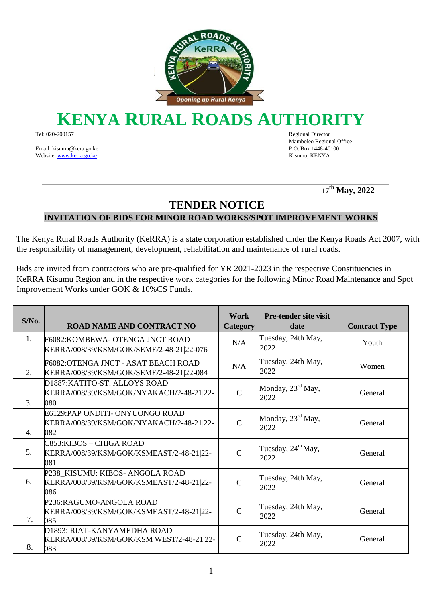

## **KENYA RURAL ROADS AUTHORI**

Tel: 020-200157 Regional Director

Email: kisumu@kera.go.ke P.O. Box 1448-40100 Websit[e: www.kerra.go.ke](http://www.kerra.go.ke/) Kisumu, KENYA

Mamboleo Regional Office

 **<sup>17</sup>th May, 2022** 

## **TENDER NOTICE**

**INVITATION OF BIDS FOR MINOR ROAD WORKS/SPOT IMPROVEMENT WORKS** 

The Kenya Rural Roads Authority (KeRRA) is a state corporation established under the Kenya Roads Act 2007, with the responsibility of management, development, rehabilitation and maintenance of rural roads.

Bids are invited from contractors who are pre-qualified for YR 2021-2023 in the respective Constituencies in KeRRA Kisumu Region and in the respective work categories for the following Minor Road Maintenance and Spot Improvement Works under GOK & 10%CS Funds.

| $S/N0$ . | ROAD NAME AND CONTRACT NO                                                          | Work<br><b>Category</b> | <b>Pre-tender site visit</b><br>date   | <b>Contract Type</b> |
|----------|------------------------------------------------------------------------------------|-------------------------|----------------------------------------|----------------------|
| 1.       | F6082: KOMBEWA- OTENGA JNCT ROAD<br>KERRA/008/39/KSM/GOK/SEME/2-48-21 22-076       | N/A                     | Tuesday, 24th May,<br>2022             | Youth                |
| 2.       | F6082:OTENGA JNCT - ASAT BEACH ROAD<br>KERRA/008/39/KSM/GOK/SEME/2-48-21 22-084    | N/A                     | Tuesday, 24th May,<br>2022             | Women                |
| 3.       | D1887: KATITO-ST. ALLOYS ROAD<br>KERRA/008/39/KSM/GOK/NYAKACH/2-48-21 22-<br>080   | $\mathbf C$             | Monday, 23 <sup>rd</sup> May,<br>2022  | General              |
| 4.       | E6129:PAP ONDITI- ONYUONGO ROAD<br>KERRA/008/39/KSM/GOK/NYAKACH/2-48-21 22-<br>082 | $\mathsf{C}$            | Monday, 23 <sup>rd</sup> May,<br>2022  | General              |
| 5.       | C853:KIBOS – CHIGA ROAD<br>KERRA/008/39/KSM/GOK/KSMEAST/2-48-21 22-<br>081         | $\mathsf{C}$            | Tuesday, $24^{\text{th}}$ May,<br>2022 | General              |
| 6.       | P238_KISUMU: KIBOS- ANGOLA ROAD<br>KERRA/008/39/KSM/GOK/KSMEAST/2-48-21 22-<br>086 | $\mathsf{C}$            | Tuesday, 24th May,<br>2022             | General              |
| 7.       | P236:RAGUMO-ANGOLA ROAD<br>KERRA/008/39/KSM/GOK/KSMEAST/2-48-21 22-<br>085         | $\mathcal{C}$           | Tuesday, 24th May,<br>2022             | General              |
| 8.       | D1893: RIAT-KANYAMEDHA ROAD<br>KERRA/008/39/KSM/GOK/KSM WEST/2-48-21 22-<br>083    | $\mathcal{C}$           | Tuesday, 24th May,<br>2022             | General              |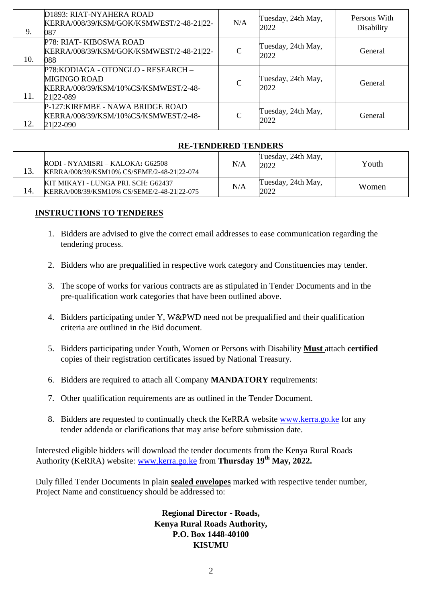| 9.  | D1893: RIAT-NYAHERA ROAD<br>KERRA/008/39/KSM/GOK/KSMWEST/2-48-21 22-<br>087                                     | N/A           | Tuesday, 24th May,<br>2022 | Persons With<br>Disability |
|-----|-----------------------------------------------------------------------------------------------------------------|---------------|----------------------------|----------------------------|
| 10. | P78: RIAT-KIBOSWA ROAD<br>KERRA/008/39/KSM/GOK/KSMWEST/2-48-21 22-<br>088                                       | $\mathcal{C}$ | Tuesday, 24th May,<br>2022 | General                    |
| 11. | P78: KODIAGA - OTONGLO - RESEARCH -<br><b>MIGINGO ROAD</b><br>KERRA/008/39/KSM/10%CS/KSMWEST/2-48-<br>21 22-089 | $\mathcal{C}$ | Tuesday, 24th May,<br>2022 | General                    |
| 12. | P-127: KIREMBE - NAWA BRIDGE ROAD<br>KERRA/008/39/KSM/10%CS/KSMWEST/2-48-<br>21 22-090                          | $\mathcal{C}$ | Tuesday, 24th May,<br>2022 | General                    |

## **RE-TENDERED TENDERS**

|     | RODI - NYAMISRI – KALOKA: G62508<br>KERRA/008/39/KSM10% CS/SEME/2-48-21 22-074    | N/A | Tuesday, 24th May,<br>2022 | Youth |
|-----|-----------------------------------------------------------------------------------|-----|----------------------------|-------|
| 14. | KIT MIKAYI - LUNGA PRI. SCH: G62437<br>KERRA/008/39/KSM10% CS/SEME/2-48-21 22-075 | N/A | Tuesday, 24th May,<br>2022 | Women |

## **INSTRUCTIONS TO TENDERES**

- 1. Bidders are advised to give the correct email addresses to ease communication regarding the tendering process.
- 2. Bidders who are prequalified in respective work category and Constituencies may tender.
- 3. The scope of works for various contracts are as stipulated in Tender Documents and in the pre-qualification work categories that have been outlined above.
- 4. Bidders participating under Y, W&PWD need not be prequalified and their qualification criteria are outlined in the Bid document.
- 5. Bidders participating under Youth, Women or Persons with Disability **Must** attach **certified** copies of their registration certificates issued by National Treasury.
- 6. Bidders are required to attach all Company **MANDATORY** requirements:
- 7. Other qualification requirements are as outlined in the Tender Document.
- 8. Bidders are requested to continually check the KeRRA website [www.kerra.go.ke](http://www.kerra.go.ke/) for any tender addenda or clarifications that may arise before submission date.

Interested eligible bidders will download the tender documents from the Kenya Rural Roads Authority (KeRRA) website: [www.kerra.go.ke](http://www.kerra.go.ke/) [f](http://www.kerra.go.ke/)rom **Thursday 19th May, 2022.**

Duly filled Tender Documents in plain **sealed envelopes** marked with respective tender number, Project Name and constituency should be addressed to:

> **Regional Director - Roads, Kenya Rural Roads Authority, P.O. Box 1448-40100 KISUMU**